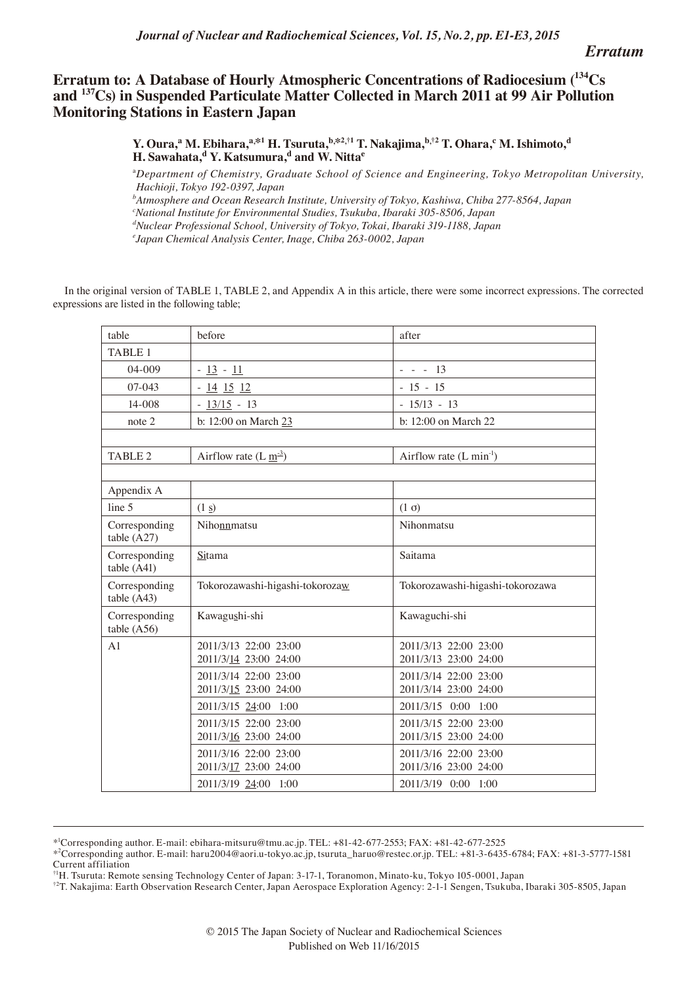*Journal of Nuclear and Radiochemical Sciences, Vol. 15, No. 2, pp. E1-E3, 2015*

*Erratum*

## **Erratum to: A Database of Hourly Atmospheric Concentrations of Radiocesium (134Cs and 137Cs) in Suspended Particulate Matter Collected in March 2011 at 99 Air Pollution Monitoring Stations in Eastern Japan**

 $\bf{Y. Oura,}^a\bf{M.} Ebihara,}^{a, *1}\bf{H.} Tsuruta, ^{b, *2, †1}\bf{T.} Nakajima, ^{b, †2}\bf{T.} Ohara, ^c\bf{M.} Ishimoto,^d$ H. Sawahata,<sup>d</sup> Y. Katsumura,<sup>d</sup> and W. Nitta<sup>e</sup>

a *Department of Chemistry, Graduate School of Science and Engineering, Tokyo Metropolitan University, Hachioji, Tokyo 192-0397, Japan*

*b Atmosphere and Ocean Research Institute, University of Tokyo, Kashiwa, Chiba 277-8564, Japan*

*c National Institute for Environmental Studies, Tsukuba, Ibaraki 305-8506, Japan*

*d Nuclear Professional School, University of Tokyo, Tokai, Ibaraki 319-1188, Japan*

*e Japan Chemical Analysis Center, Inage, Chiba 263-0002, Japan*

In the original version of TABLE 1, TABLE 2, and Appendix A in this article, there were some incorrect expressions. The corrected expressions are listed in the following table;

| table                        | before                                         | after                                          |
|------------------------------|------------------------------------------------|------------------------------------------------|
| <b>TABLE 1</b>               |                                                |                                                |
| $04 - 009$                   | $-13 - 11$                                     | $- - - 13$                                     |
| 07-043                       | $-14$ 15 12                                    | $-15 - 15$                                     |
| 14-008                       | $-13/15 - 13$                                  | $-15/13 - 13$                                  |
| note 2                       | b: 12:00 on March 23                           | b: 12:00 on March 22                           |
|                              |                                                |                                                |
| <b>TABLE 2</b>               | Airflow rate $(L \underline{m}^3)$             | Airflow rate $(L \text{ min}^{-1})$            |
|                              |                                                |                                                |
| Appendix A                   |                                                |                                                |
| line 5                       | (1 s)                                          | $(1 \sigma)$                                   |
| Corresponding<br>table (A27) | Nihonnmatsu                                    | Nihonmatsu                                     |
| Corresponding<br>table (A41) | Sitama                                         | Saitama                                        |
| Corresponding<br>table (A43) | Tokorozawashi-higashi-tokorozaw                | Tokorozawashi-higashi-tokorozawa               |
| Corresponding<br>table(A56)  | Kawagushi-shi                                  | Kawaguchi-shi                                  |
| A <sub>1</sub>               | 2011/3/13 22:00 23:00<br>2011/3/14 23:00 24:00 | 2011/3/13 22:00 23:00<br>2011/3/13 23:00 24:00 |
|                              | 2011/3/14 22:00 23:00<br>2011/3/15 23:00 24:00 | 2011/3/14 22:00 23:00<br>2011/3/14 23:00 24:00 |
|                              | 2011/3/15 24:00 1:00                           | 2011/3/15 0:00 1:00                            |
|                              | 2011/3/15 22:00 23:00<br>2011/3/16 23:00 24:00 | 2011/3/15 22:00 23:00<br>2011/3/15 23:00 24:00 |
|                              | 2011/3/16 22:00 23:00<br>2011/3/17 23:00 24:00 | 2011/3/16 22:00 23:00<br>2011/3/16 23:00 24:00 |
|                              | 2011/3/19 24:00 1:00                           | 2011/3/19 0:00 1:00                            |

<sup>\*1</sup> Corresponding author. E-mail: ebihara-mitsuru@tmu.ac.jp. TEL: +81-42-677-2553; FAX: +81-42-677-2525

<sup>\*2</sup> Corresponding author. E-mail: haru2004@aori.u-tokyo.ac.jp, tsuruta\_haruo@restec.or.jp. TEL: +81-3-6435-6784; FAX: +81-3-5777-1581 Current affiliation

<sup>†1</sup>H. Tsuruta: Remote sensing Technology Center of Japan: 3-17-1, Toranomon, Minato-ku, Tokyo 105-0001, Japan

<sup>†2</sup>T. Nakajima: Earth Observation Research Center, Japan Aerospace Exploration Agency: 2-1-1 Sengen, Tsukuba, Ibaraki 305-8505, Japan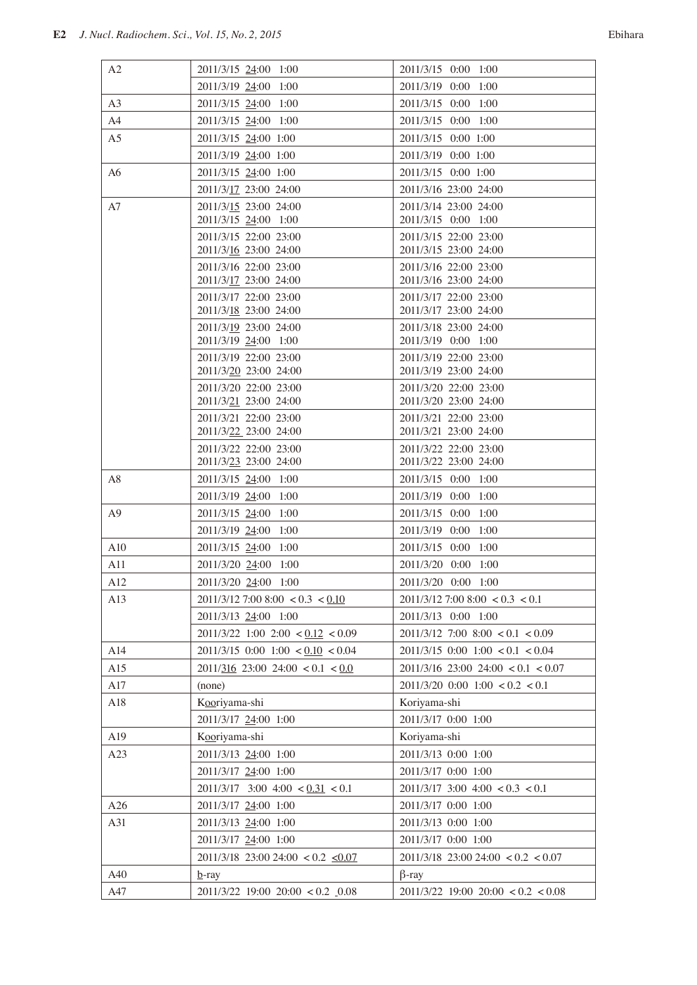| A2<br>2011/3/15 24:00 1:00<br>2011/3/15 0:00 1:00<br>2011/3/19 0:00 1:00<br>2011/3/19 24:00 1:00<br>A <sub>3</sub><br>2011/3/15 24:00 1:00<br>2011/3/15 0:00 1:00<br>A4<br>2011/3/15 24:00 1:00<br>2011/3/15 0:00 1:00<br>A <sub>5</sub><br>2011/3/15 24:00 1:00<br>2011/3/15 0:00 1:00<br>2011/3/19 0:00 1:00<br>2011/3/19 24:00 1:00<br>2011/3/15 24:00 1:00<br>2011/3/15 0:00 1:00<br>A6<br>2011/3/16 23:00 24:00<br>2011/3/17 23:00 24:00<br>2011/3/15 23:00 24:00<br>2011/3/14 23:00 24:00<br>A7<br>2011/3/15 24:00 1:00<br>2011/3/15 0:00 1:00<br>2011/3/15 22:00 23:00<br>2011/3/15 22:00 23:00<br>2011/3/16 23:00 24:00<br>2011/3/15 23:00 24:00<br>2011/3/16 22:00 23:00<br>2011/3/16 22:00 23:00<br>2011/3/17 23:00 24:00<br>2011/3/16 23:00 24:00<br>2011/3/17 22:00 23:00<br>2011/3/17 22:00 23:00<br>2011/3/18 23:00 24:00<br>2011/3/17 23:00 24:00<br>2011/3/19 23:00 24:00<br>2011/3/18 23:00 24:00<br>2011/3/19 24:00 1:00<br>2011/3/19 0:00 1:00<br>2011/3/19 22:00 23:00<br>2011/3/19 22:00 23:00<br>2011/3/20 23:00 24:00<br>2011/3/19 23:00 24:00<br>2011/3/20 22:00 23:00<br>2011/3/20 22:00 23:00<br>2011/3/21 23:00 24:00<br>2011/3/20 23:00 24:00<br>2011/3/21 22:00 23:00<br>2011/3/21 22:00 23:00<br>2011/3/22 23:00 24:00<br>2011/3/21 23:00 24:00<br>2011/3/22 22:00 23:00<br>2011/3/22 22:00 23:00<br>2011/3/22 23:00 24:00<br>2011/3/23 23:00 24:00<br>2011/3/15 24:00 1:00<br>2011/3/15 0:00 1:00<br>A8<br>2011/3/19 24:00 1:00<br>2011/3/19 0:00 1:00<br>A <sup>9</sup><br>2011/3/15 24:00 1:00<br>2011/3/15 0:00 1:00<br>2011/3/19 24:00 1:00<br>2011/3/19 0:00 1:00<br>A10<br>2011/3/15 0:00 1:00<br>2011/3/15 24:00 1:00<br>2011/3/20 0:00 1:00<br>A11<br>2011/3/20 24:00 1:00<br>A12<br>2011/3/20 24:00 1:00<br>2011/3/20 0:00 1:00<br>A13<br>$2011/3/12$ 7:00 8:00 < 0.3 < 0.10<br>$2011/3/12$ 7:00 8:00 < 0.3 < 0.1<br>2011/3/13 0:00 1:00<br>2011/3/13 24:00 1:00<br>$2011/3/22$ 1:00 2:00 < $0.12$ < 0.09<br>$2011/3/12$ 7:00 8:00 < 0.1 < 0.09<br>$2011/3/15$ 0:00 1:00 < 0.10 < 0.04<br>$2011/3/15$ 0:00 1:00 < 0.1 < 0.04<br>A14<br>A15<br>$2011/\underline{316}$ 23:00 24:00 < 0.1 < 0.0<br>$2011/3/16$ 23:00 24:00 < 0.1 < 0.07<br>A17<br>$2011/3/20$ 0:00 1:00 < 0.2 < 0.1<br>(none)<br>A18<br>Kooriyama-shi<br>Koriyama-shi<br>2011/3/17 0:00 1:00<br>2011/3/17 24:00 1:00<br>A19<br>Kooriyama-shi<br>Koriyama-shi<br>A23<br>2011/3/13 24:00 1:00<br>2011/3/13 0:00 1:00<br>2011/3/17 24:00 1:00<br>2011/3/17 0:00 1:00<br>$2011/3/17$ 3:00 4:00 < 0.3 < 0.1<br>$2011/3/17$ 3:00 4:00 < $0.31$ < 0.1<br>2011/3/17 0:00 1:00<br>A26<br>2011/3/17 24:00 1:00<br>A31<br>2011/3/13 24:00 1:00<br>2011/3/13 0:00 1:00<br>2011/3/17 24:00 1:00<br>2011/3/17 0:00 1:00<br>$2011/3/18$ 23:00 24:00 < 0.2 $\leq 0.07$<br>$2011/3/18$ 23:00 24:00 < 0.2 < 0.07<br>A40<br>$\beta$ -ray<br>$b$ -ray |     |                                      |                                        |
|----------------------------------------------------------------------------------------------------------------------------------------------------------------------------------------------------------------------------------------------------------------------------------------------------------------------------------------------------------------------------------------------------------------------------------------------------------------------------------------------------------------------------------------------------------------------------------------------------------------------------------------------------------------------------------------------------------------------------------------------------------------------------------------------------------------------------------------------------------------------------------------------------------------------------------------------------------------------------------------------------------------------------------------------------------------------------------------------------------------------------------------------------------------------------------------------------------------------------------------------------------------------------------------------------------------------------------------------------------------------------------------------------------------------------------------------------------------------------------------------------------------------------------------------------------------------------------------------------------------------------------------------------------------------------------------------------------------------------------------------------------------------------------------------------------------------------------------------------------------------------------------------------------------------------------------------------------------------------------------------------------------------------------------------------------------------------------------------------------------------------------------------------------------------------------------------------------------------------------------------------------------------------------------------------------------------------------------------------------------------------------------------------------------------------------------------------------------------------------------------------------------------------------------------------------------------------------------------------------------------------------------------------------------------------------------------------------------------------------------------------------------------------------------------------------------------------------------|-----|--------------------------------------|----------------------------------------|
|                                                                                                                                                                                                                                                                                                                                                                                                                                                                                                                                                                                                                                                                                                                                                                                                                                                                                                                                                                                                                                                                                                                                                                                                                                                                                                                                                                                                                                                                                                                                                                                                                                                                                                                                                                                                                                                                                                                                                                                                                                                                                                                                                                                                                                                                                                                                                                                                                                                                                                                                                                                                                                                                                                                                                                                                                                        |     |                                      |                                        |
|                                                                                                                                                                                                                                                                                                                                                                                                                                                                                                                                                                                                                                                                                                                                                                                                                                                                                                                                                                                                                                                                                                                                                                                                                                                                                                                                                                                                                                                                                                                                                                                                                                                                                                                                                                                                                                                                                                                                                                                                                                                                                                                                                                                                                                                                                                                                                                                                                                                                                                                                                                                                                                                                                                                                                                                                                                        |     |                                      |                                        |
|                                                                                                                                                                                                                                                                                                                                                                                                                                                                                                                                                                                                                                                                                                                                                                                                                                                                                                                                                                                                                                                                                                                                                                                                                                                                                                                                                                                                                                                                                                                                                                                                                                                                                                                                                                                                                                                                                                                                                                                                                                                                                                                                                                                                                                                                                                                                                                                                                                                                                                                                                                                                                                                                                                                                                                                                                                        |     |                                      |                                        |
|                                                                                                                                                                                                                                                                                                                                                                                                                                                                                                                                                                                                                                                                                                                                                                                                                                                                                                                                                                                                                                                                                                                                                                                                                                                                                                                                                                                                                                                                                                                                                                                                                                                                                                                                                                                                                                                                                                                                                                                                                                                                                                                                                                                                                                                                                                                                                                                                                                                                                                                                                                                                                                                                                                                                                                                                                                        |     |                                      |                                        |
|                                                                                                                                                                                                                                                                                                                                                                                                                                                                                                                                                                                                                                                                                                                                                                                                                                                                                                                                                                                                                                                                                                                                                                                                                                                                                                                                                                                                                                                                                                                                                                                                                                                                                                                                                                                                                                                                                                                                                                                                                                                                                                                                                                                                                                                                                                                                                                                                                                                                                                                                                                                                                                                                                                                                                                                                                                        |     |                                      |                                        |
|                                                                                                                                                                                                                                                                                                                                                                                                                                                                                                                                                                                                                                                                                                                                                                                                                                                                                                                                                                                                                                                                                                                                                                                                                                                                                                                                                                                                                                                                                                                                                                                                                                                                                                                                                                                                                                                                                                                                                                                                                                                                                                                                                                                                                                                                                                                                                                                                                                                                                                                                                                                                                                                                                                                                                                                                                                        |     |                                      |                                        |
|                                                                                                                                                                                                                                                                                                                                                                                                                                                                                                                                                                                                                                                                                                                                                                                                                                                                                                                                                                                                                                                                                                                                                                                                                                                                                                                                                                                                                                                                                                                                                                                                                                                                                                                                                                                                                                                                                                                                                                                                                                                                                                                                                                                                                                                                                                                                                                                                                                                                                                                                                                                                                                                                                                                                                                                                                                        |     |                                      |                                        |
|                                                                                                                                                                                                                                                                                                                                                                                                                                                                                                                                                                                                                                                                                                                                                                                                                                                                                                                                                                                                                                                                                                                                                                                                                                                                                                                                                                                                                                                                                                                                                                                                                                                                                                                                                                                                                                                                                                                                                                                                                                                                                                                                                                                                                                                                                                                                                                                                                                                                                                                                                                                                                                                                                                                                                                                                                                        |     |                                      |                                        |
|                                                                                                                                                                                                                                                                                                                                                                                                                                                                                                                                                                                                                                                                                                                                                                                                                                                                                                                                                                                                                                                                                                                                                                                                                                                                                                                                                                                                                                                                                                                                                                                                                                                                                                                                                                                                                                                                                                                                                                                                                                                                                                                                                                                                                                                                                                                                                                                                                                                                                                                                                                                                                                                                                                                                                                                                                                        |     |                                      |                                        |
|                                                                                                                                                                                                                                                                                                                                                                                                                                                                                                                                                                                                                                                                                                                                                                                                                                                                                                                                                                                                                                                                                                                                                                                                                                                                                                                                                                                                                                                                                                                                                                                                                                                                                                                                                                                                                                                                                                                                                                                                                                                                                                                                                                                                                                                                                                                                                                                                                                                                                                                                                                                                                                                                                                                                                                                                                                        |     |                                      |                                        |
|                                                                                                                                                                                                                                                                                                                                                                                                                                                                                                                                                                                                                                                                                                                                                                                                                                                                                                                                                                                                                                                                                                                                                                                                                                                                                                                                                                                                                                                                                                                                                                                                                                                                                                                                                                                                                                                                                                                                                                                                                                                                                                                                                                                                                                                                                                                                                                                                                                                                                                                                                                                                                                                                                                                                                                                                                                        |     |                                      |                                        |
|                                                                                                                                                                                                                                                                                                                                                                                                                                                                                                                                                                                                                                                                                                                                                                                                                                                                                                                                                                                                                                                                                                                                                                                                                                                                                                                                                                                                                                                                                                                                                                                                                                                                                                                                                                                                                                                                                                                                                                                                                                                                                                                                                                                                                                                                                                                                                                                                                                                                                                                                                                                                                                                                                                                                                                                                                                        |     |                                      |                                        |
|                                                                                                                                                                                                                                                                                                                                                                                                                                                                                                                                                                                                                                                                                                                                                                                                                                                                                                                                                                                                                                                                                                                                                                                                                                                                                                                                                                                                                                                                                                                                                                                                                                                                                                                                                                                                                                                                                                                                                                                                                                                                                                                                                                                                                                                                                                                                                                                                                                                                                                                                                                                                                                                                                                                                                                                                                                        |     |                                      |                                        |
|                                                                                                                                                                                                                                                                                                                                                                                                                                                                                                                                                                                                                                                                                                                                                                                                                                                                                                                                                                                                                                                                                                                                                                                                                                                                                                                                                                                                                                                                                                                                                                                                                                                                                                                                                                                                                                                                                                                                                                                                                                                                                                                                                                                                                                                                                                                                                                                                                                                                                                                                                                                                                                                                                                                                                                                                                                        |     |                                      |                                        |
|                                                                                                                                                                                                                                                                                                                                                                                                                                                                                                                                                                                                                                                                                                                                                                                                                                                                                                                                                                                                                                                                                                                                                                                                                                                                                                                                                                                                                                                                                                                                                                                                                                                                                                                                                                                                                                                                                                                                                                                                                                                                                                                                                                                                                                                                                                                                                                                                                                                                                                                                                                                                                                                                                                                                                                                                                                        |     |                                      |                                        |
|                                                                                                                                                                                                                                                                                                                                                                                                                                                                                                                                                                                                                                                                                                                                                                                                                                                                                                                                                                                                                                                                                                                                                                                                                                                                                                                                                                                                                                                                                                                                                                                                                                                                                                                                                                                                                                                                                                                                                                                                                                                                                                                                                                                                                                                                                                                                                                                                                                                                                                                                                                                                                                                                                                                                                                                                                                        |     |                                      |                                        |
|                                                                                                                                                                                                                                                                                                                                                                                                                                                                                                                                                                                                                                                                                                                                                                                                                                                                                                                                                                                                                                                                                                                                                                                                                                                                                                                                                                                                                                                                                                                                                                                                                                                                                                                                                                                                                                                                                                                                                                                                                                                                                                                                                                                                                                                                                                                                                                                                                                                                                                                                                                                                                                                                                                                                                                                                                                        |     |                                      |                                        |
|                                                                                                                                                                                                                                                                                                                                                                                                                                                                                                                                                                                                                                                                                                                                                                                                                                                                                                                                                                                                                                                                                                                                                                                                                                                                                                                                                                                                                                                                                                                                                                                                                                                                                                                                                                                                                                                                                                                                                                                                                                                                                                                                                                                                                                                                                                                                                                                                                                                                                                                                                                                                                                                                                                                                                                                                                                        |     |                                      |                                        |
|                                                                                                                                                                                                                                                                                                                                                                                                                                                                                                                                                                                                                                                                                                                                                                                                                                                                                                                                                                                                                                                                                                                                                                                                                                                                                                                                                                                                                                                                                                                                                                                                                                                                                                                                                                                                                                                                                                                                                                                                                                                                                                                                                                                                                                                                                                                                                                                                                                                                                                                                                                                                                                                                                                                                                                                                                                        |     |                                      |                                        |
|                                                                                                                                                                                                                                                                                                                                                                                                                                                                                                                                                                                                                                                                                                                                                                                                                                                                                                                                                                                                                                                                                                                                                                                                                                                                                                                                                                                                                                                                                                                                                                                                                                                                                                                                                                                                                                                                                                                                                                                                                                                                                                                                                                                                                                                                                                                                                                                                                                                                                                                                                                                                                                                                                                                                                                                                                                        |     |                                      |                                        |
|                                                                                                                                                                                                                                                                                                                                                                                                                                                                                                                                                                                                                                                                                                                                                                                                                                                                                                                                                                                                                                                                                                                                                                                                                                                                                                                                                                                                                                                                                                                                                                                                                                                                                                                                                                                                                                                                                                                                                                                                                                                                                                                                                                                                                                                                                                                                                                                                                                                                                                                                                                                                                                                                                                                                                                                                                                        |     |                                      |                                        |
|                                                                                                                                                                                                                                                                                                                                                                                                                                                                                                                                                                                                                                                                                                                                                                                                                                                                                                                                                                                                                                                                                                                                                                                                                                                                                                                                                                                                                                                                                                                                                                                                                                                                                                                                                                                                                                                                                                                                                                                                                                                                                                                                                                                                                                                                                                                                                                                                                                                                                                                                                                                                                                                                                                                                                                                                                                        |     |                                      |                                        |
|                                                                                                                                                                                                                                                                                                                                                                                                                                                                                                                                                                                                                                                                                                                                                                                                                                                                                                                                                                                                                                                                                                                                                                                                                                                                                                                                                                                                                                                                                                                                                                                                                                                                                                                                                                                                                                                                                                                                                                                                                                                                                                                                                                                                                                                                                                                                                                                                                                                                                                                                                                                                                                                                                                                                                                                                                                        |     |                                      |                                        |
|                                                                                                                                                                                                                                                                                                                                                                                                                                                                                                                                                                                                                                                                                                                                                                                                                                                                                                                                                                                                                                                                                                                                                                                                                                                                                                                                                                                                                                                                                                                                                                                                                                                                                                                                                                                                                                                                                                                                                                                                                                                                                                                                                                                                                                                                                                                                                                                                                                                                                                                                                                                                                                                                                                                                                                                                                                        |     |                                      |                                        |
|                                                                                                                                                                                                                                                                                                                                                                                                                                                                                                                                                                                                                                                                                                                                                                                                                                                                                                                                                                                                                                                                                                                                                                                                                                                                                                                                                                                                                                                                                                                                                                                                                                                                                                                                                                                                                                                                                                                                                                                                                                                                                                                                                                                                                                                                                                                                                                                                                                                                                                                                                                                                                                                                                                                                                                                                                                        |     |                                      |                                        |
|                                                                                                                                                                                                                                                                                                                                                                                                                                                                                                                                                                                                                                                                                                                                                                                                                                                                                                                                                                                                                                                                                                                                                                                                                                                                                                                                                                                                                                                                                                                                                                                                                                                                                                                                                                                                                                                                                                                                                                                                                                                                                                                                                                                                                                                                                                                                                                                                                                                                                                                                                                                                                                                                                                                                                                                                                                        |     |                                      |                                        |
|                                                                                                                                                                                                                                                                                                                                                                                                                                                                                                                                                                                                                                                                                                                                                                                                                                                                                                                                                                                                                                                                                                                                                                                                                                                                                                                                                                                                                                                                                                                                                                                                                                                                                                                                                                                                                                                                                                                                                                                                                                                                                                                                                                                                                                                                                                                                                                                                                                                                                                                                                                                                                                                                                                                                                                                                                                        |     |                                      |                                        |
|                                                                                                                                                                                                                                                                                                                                                                                                                                                                                                                                                                                                                                                                                                                                                                                                                                                                                                                                                                                                                                                                                                                                                                                                                                                                                                                                                                                                                                                                                                                                                                                                                                                                                                                                                                                                                                                                                                                                                                                                                                                                                                                                                                                                                                                                                                                                                                                                                                                                                                                                                                                                                                                                                                                                                                                                                                        |     |                                      |                                        |
|                                                                                                                                                                                                                                                                                                                                                                                                                                                                                                                                                                                                                                                                                                                                                                                                                                                                                                                                                                                                                                                                                                                                                                                                                                                                                                                                                                                                                                                                                                                                                                                                                                                                                                                                                                                                                                                                                                                                                                                                                                                                                                                                                                                                                                                                                                                                                                                                                                                                                                                                                                                                                                                                                                                                                                                                                                        |     |                                      |                                        |
|                                                                                                                                                                                                                                                                                                                                                                                                                                                                                                                                                                                                                                                                                                                                                                                                                                                                                                                                                                                                                                                                                                                                                                                                                                                                                                                                                                                                                                                                                                                                                                                                                                                                                                                                                                                                                                                                                                                                                                                                                                                                                                                                                                                                                                                                                                                                                                                                                                                                                                                                                                                                                                                                                                                                                                                                                                        |     |                                      |                                        |
|                                                                                                                                                                                                                                                                                                                                                                                                                                                                                                                                                                                                                                                                                                                                                                                                                                                                                                                                                                                                                                                                                                                                                                                                                                                                                                                                                                                                                                                                                                                                                                                                                                                                                                                                                                                                                                                                                                                                                                                                                                                                                                                                                                                                                                                                                                                                                                                                                                                                                                                                                                                                                                                                                                                                                                                                                                        |     |                                      |                                        |
|                                                                                                                                                                                                                                                                                                                                                                                                                                                                                                                                                                                                                                                                                                                                                                                                                                                                                                                                                                                                                                                                                                                                                                                                                                                                                                                                                                                                                                                                                                                                                                                                                                                                                                                                                                                                                                                                                                                                                                                                                                                                                                                                                                                                                                                                                                                                                                                                                                                                                                                                                                                                                                                                                                                                                                                                                                        |     |                                      |                                        |
|                                                                                                                                                                                                                                                                                                                                                                                                                                                                                                                                                                                                                                                                                                                                                                                                                                                                                                                                                                                                                                                                                                                                                                                                                                                                                                                                                                                                                                                                                                                                                                                                                                                                                                                                                                                                                                                                                                                                                                                                                                                                                                                                                                                                                                                                                                                                                                                                                                                                                                                                                                                                                                                                                                                                                                                                                                        |     |                                      |                                        |
|                                                                                                                                                                                                                                                                                                                                                                                                                                                                                                                                                                                                                                                                                                                                                                                                                                                                                                                                                                                                                                                                                                                                                                                                                                                                                                                                                                                                                                                                                                                                                                                                                                                                                                                                                                                                                                                                                                                                                                                                                                                                                                                                                                                                                                                                                                                                                                                                                                                                                                                                                                                                                                                                                                                                                                                                                                        |     |                                      |                                        |
|                                                                                                                                                                                                                                                                                                                                                                                                                                                                                                                                                                                                                                                                                                                                                                                                                                                                                                                                                                                                                                                                                                                                                                                                                                                                                                                                                                                                                                                                                                                                                                                                                                                                                                                                                                                                                                                                                                                                                                                                                                                                                                                                                                                                                                                                                                                                                                                                                                                                                                                                                                                                                                                                                                                                                                                                                                        |     |                                      |                                        |
|                                                                                                                                                                                                                                                                                                                                                                                                                                                                                                                                                                                                                                                                                                                                                                                                                                                                                                                                                                                                                                                                                                                                                                                                                                                                                                                                                                                                                                                                                                                                                                                                                                                                                                                                                                                                                                                                                                                                                                                                                                                                                                                                                                                                                                                                                                                                                                                                                                                                                                                                                                                                                                                                                                                                                                                                                                        |     |                                      |                                        |
|                                                                                                                                                                                                                                                                                                                                                                                                                                                                                                                                                                                                                                                                                                                                                                                                                                                                                                                                                                                                                                                                                                                                                                                                                                                                                                                                                                                                                                                                                                                                                                                                                                                                                                                                                                                                                                                                                                                                                                                                                                                                                                                                                                                                                                                                                                                                                                                                                                                                                                                                                                                                                                                                                                                                                                                                                                        |     |                                      |                                        |
|                                                                                                                                                                                                                                                                                                                                                                                                                                                                                                                                                                                                                                                                                                                                                                                                                                                                                                                                                                                                                                                                                                                                                                                                                                                                                                                                                                                                                                                                                                                                                                                                                                                                                                                                                                                                                                                                                                                                                                                                                                                                                                                                                                                                                                                                                                                                                                                                                                                                                                                                                                                                                                                                                                                                                                                                                                        |     |                                      |                                        |
|                                                                                                                                                                                                                                                                                                                                                                                                                                                                                                                                                                                                                                                                                                                                                                                                                                                                                                                                                                                                                                                                                                                                                                                                                                                                                                                                                                                                                                                                                                                                                                                                                                                                                                                                                                                                                                                                                                                                                                                                                                                                                                                                                                                                                                                                                                                                                                                                                                                                                                                                                                                                                                                                                                                                                                                                                                        |     |                                      |                                        |
|                                                                                                                                                                                                                                                                                                                                                                                                                                                                                                                                                                                                                                                                                                                                                                                                                                                                                                                                                                                                                                                                                                                                                                                                                                                                                                                                                                                                                                                                                                                                                                                                                                                                                                                                                                                                                                                                                                                                                                                                                                                                                                                                                                                                                                                                                                                                                                                                                                                                                                                                                                                                                                                                                                                                                                                                                                        |     |                                      |                                        |
|                                                                                                                                                                                                                                                                                                                                                                                                                                                                                                                                                                                                                                                                                                                                                                                                                                                                                                                                                                                                                                                                                                                                                                                                                                                                                                                                                                                                                                                                                                                                                                                                                                                                                                                                                                                                                                                                                                                                                                                                                                                                                                                                                                                                                                                                                                                                                                                                                                                                                                                                                                                                                                                                                                                                                                                                                                        |     |                                      |                                        |
|                                                                                                                                                                                                                                                                                                                                                                                                                                                                                                                                                                                                                                                                                                                                                                                                                                                                                                                                                                                                                                                                                                                                                                                                                                                                                                                                                                                                                                                                                                                                                                                                                                                                                                                                                                                                                                                                                                                                                                                                                                                                                                                                                                                                                                                                                                                                                                                                                                                                                                                                                                                                                                                                                                                                                                                                                                        |     |                                      |                                        |
|                                                                                                                                                                                                                                                                                                                                                                                                                                                                                                                                                                                                                                                                                                                                                                                                                                                                                                                                                                                                                                                                                                                                                                                                                                                                                                                                                                                                                                                                                                                                                                                                                                                                                                                                                                                                                                                                                                                                                                                                                                                                                                                                                                                                                                                                                                                                                                                                                                                                                                                                                                                                                                                                                                                                                                                                                                        |     |                                      |                                        |
|                                                                                                                                                                                                                                                                                                                                                                                                                                                                                                                                                                                                                                                                                                                                                                                                                                                                                                                                                                                                                                                                                                                                                                                                                                                                                                                                                                                                                                                                                                                                                                                                                                                                                                                                                                                                                                                                                                                                                                                                                                                                                                                                                                                                                                                                                                                                                                                                                                                                                                                                                                                                                                                                                                                                                                                                                                        |     |                                      |                                        |
|                                                                                                                                                                                                                                                                                                                                                                                                                                                                                                                                                                                                                                                                                                                                                                                                                                                                                                                                                                                                                                                                                                                                                                                                                                                                                                                                                                                                                                                                                                                                                                                                                                                                                                                                                                                                                                                                                                                                                                                                                                                                                                                                                                                                                                                                                                                                                                                                                                                                                                                                                                                                                                                                                                                                                                                                                                        |     |                                      |                                        |
|                                                                                                                                                                                                                                                                                                                                                                                                                                                                                                                                                                                                                                                                                                                                                                                                                                                                                                                                                                                                                                                                                                                                                                                                                                                                                                                                                                                                                                                                                                                                                                                                                                                                                                                                                                                                                                                                                                                                                                                                                                                                                                                                                                                                                                                                                                                                                                                                                                                                                                                                                                                                                                                                                                                                                                                                                                        |     |                                      |                                        |
|                                                                                                                                                                                                                                                                                                                                                                                                                                                                                                                                                                                                                                                                                                                                                                                                                                                                                                                                                                                                                                                                                                                                                                                                                                                                                                                                                                                                                                                                                                                                                                                                                                                                                                                                                                                                                                                                                                                                                                                                                                                                                                                                                                                                                                                                                                                                                                                                                                                                                                                                                                                                                                                                                                                                                                                                                                        |     |                                      |                                        |
|                                                                                                                                                                                                                                                                                                                                                                                                                                                                                                                                                                                                                                                                                                                                                                                                                                                                                                                                                                                                                                                                                                                                                                                                                                                                                                                                                                                                                                                                                                                                                                                                                                                                                                                                                                                                                                                                                                                                                                                                                                                                                                                                                                                                                                                                                                                                                                                                                                                                                                                                                                                                                                                                                                                                                                                                                                        |     |                                      |                                        |
|                                                                                                                                                                                                                                                                                                                                                                                                                                                                                                                                                                                                                                                                                                                                                                                                                                                                                                                                                                                                                                                                                                                                                                                                                                                                                                                                                                                                                                                                                                                                                                                                                                                                                                                                                                                                                                                                                                                                                                                                                                                                                                                                                                                                                                                                                                                                                                                                                                                                                                                                                                                                                                                                                                                                                                                                                                        | A47 | $2011/3/22$ 19:00 $20:00 < 0.2$ 0.08 | $2011/3/22$ 19:00 $20:00 < 0.2 < 0.08$ |